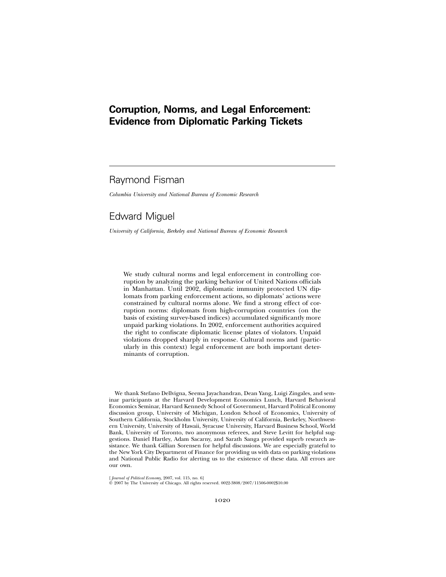# **Corruption, Norms, and Legal Enforcement: Evidence from Diplomatic Parking Tickets**

# Raymond Fisman

*Columbia University and National Bureau of Economic Research*

# Edward Miguel

*University of California, Berkeley and National Bureau of Economic Research*

We study cultural norms and legal enforcement in controlling corruption by analyzing the parking behavior of United Nations officials in Manhattan. Until 2002, diplomatic immunity protected UN diplomats from parking enforcement actions, so diplomats' actions were constrained by cultural norms alone. We find a strong effect of corruption norms: diplomats from high-corruption countries (on the basis of existing survey-based indices) accumulated significantly more unpaid parking violations. In 2002, enforcement authorities acquired the right to confiscate diplomatic license plates of violators. Unpaid violations dropped sharply in response. Cultural norms and (particularly in this context) legal enforcement are both important determinants of corruption.

We thank Stefano Dellvigna, Seema Jayachandran, Dean Yang, Luigi Zingales, and seminar participants at the Harvard Development Economics Lunch, Harvard Behavioral Economics Seminar, Harvard Kennedy School of Government, Harvard Political Economy discussion group, University of Michigan, London School of Economics, University of Southern California, Stockholm University, University of California, Berkeley, Northwestern University, University of Hawaii, Syracuse University, Harvard Business School, World Bank, University of Toronto, two anonymous referees, and Steve Levitt for helpful suggestions. Daniel Hartley, Adam Sacarny, and Sarath Sanga provided superb research assistance. We thank Gillian Sorensen for helpful discussions. We are especially grateful to the New York City Department of Finance for providing us with data on parking violations and National Public Radio for alerting us to the existence of these data. All errors are our own.

[*Journal of Political Economy,* 2007, vol. 115, no. 6]<br>© 2007 by The University of Chicago. All rights reserved. 0022-3808/2007/11506-0002\$10.00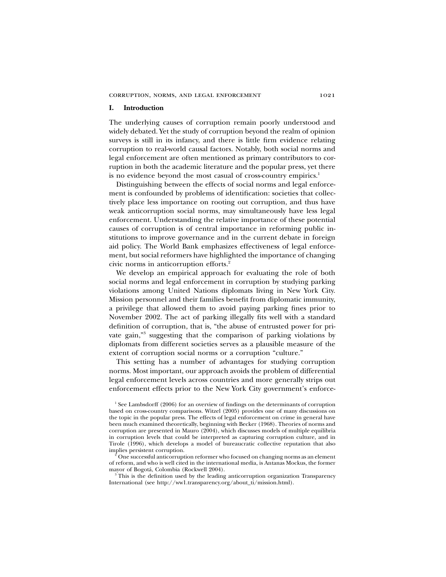### corruption, norms, and legal enforcement 1021

## **I. Introduction**

The underlying causes of corruption remain poorly understood and widely debated. Yet the study of corruption beyond the realm of opinion surveys is still in its infancy, and there is little firm evidence relating corruption to real-world causal factors. Notably, both social norms and legal enforcement are often mentioned as primary contributors to corruption in both the academic literature and the popular press, yet there is no evidence beyond the most casual of cross-country empirics.<sup>1</sup>

Distinguishing between the effects of social norms and legal enforcement is confounded by problems of identification: societies that collectively place less importance on rooting out corruption, and thus have weak anticorruption social norms, may simultaneously have less legal enforcement. Understanding the relative importance of these potential causes of corruption is of central importance in reforming public institutions to improve governance and in the current debate in foreign aid policy. The World Bank emphasizes effectiveness of legal enforcement, but social reformers have highlighted the importance of changing civic norms in anticorruption efforts.<sup>2</sup>

We develop an empirical approach for evaluating the role of both social norms and legal enforcement in corruption by studying parking violations among United Nations diplomats living in New York City. Mission personnel and their families benefit from diplomatic immunity, a privilege that allowed them to avoid paying parking fines prior to November 2002. The act of parking illegally fits well with a standard definition of corruption, that is, "the abuse of entrusted power for private gain,"<sup>3</sup> suggesting that the comparison of parking violations by diplomats from different societies serves as a plausible measure of the extent of corruption social norms or a corruption "culture."

This setting has a number of advantages for studying corruption norms. Most important, our approach avoids the problem of differential legal enforcement levels across countries and more generally strips out enforcement effects prior to the New York City government's enforce-

<sup>&</sup>lt;sup>1</sup> See Lambsdorff (2006) for an overview of findings on the determinants of corruption based on cross-country comparisons. Witzel (2005) provides one of many discussions on the topic in the popular press. The effects of legal enforcement on crime in general have been much examined theoretically, beginning with Becker (1968). Theories of norms and corruption are presented in Mauro (2004), which discusses models of multiple equilibria in corruption levels that could be interpreted as capturing corruption culture, and in Tirole (1996), which develops a model of bureaucratic collective reputation that also implies persistent corruption.

One successful anticorruption reformer who focused on changing norms as an element of reform, and who is well cited in the international media, is Antanas Mockus, the former mayor of Bogota´, Colombia (Rockwell 2004).

<sup>&</sup>lt;sup>3</sup> This is the definition used by the leading anticorruption organization Transparency International (see http://ww1.transparency.org/about\_ti/mission.html).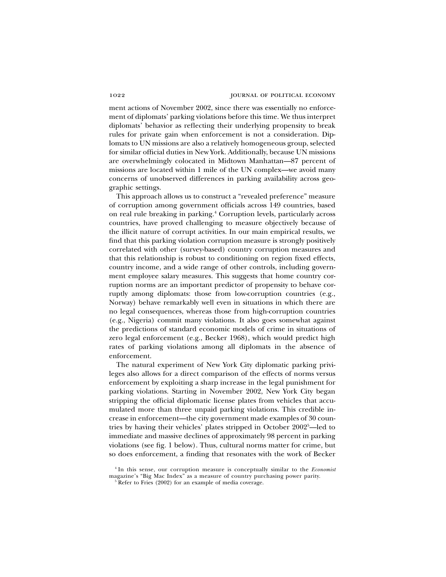ment actions of November 2002, since there was essentially no enforcement of diplomats' parking violations before this time. We thus interpret diplomats' behavior as reflecting their underlying propensity to break rules for private gain when enforcement is not a consideration. Diplomats to UN missions are also a relatively homogeneous group, selected for similar official duties in New York. Additionally, because UN missions are overwhelmingly colocated in Midtown Manhattan—87 percent of missions are located within 1 mile of the UN complex—we avoid many concerns of unobserved differences in parking availability across geographic settings.

This approach allows us to construct a "revealed preference" measure of corruption among government officials across 149 countries, based on real rule breaking in parking.<sup>4</sup> Corruption levels, particularly across countries, have proved challenging to measure objectively because of the illicit nature of corrupt activities. In our main empirical results, we find that this parking violation corruption measure is strongly positively correlated with other (survey-based) country corruption measures and that this relationship is robust to conditioning on region fixed effects, country income, and a wide range of other controls, including government employee salary measures. This suggests that home country corruption norms are an important predictor of propensity to behave corruptly among diplomats: those from low-corruption countries (e.g., Norway) behave remarkably well even in situations in which there are no legal consequences, whereas those from high-corruption countries (e.g., Nigeria) commit many violations. It also goes somewhat against the predictions of standard economic models of crime in situations of zero legal enforcement (e.g., Becker 1968), which would predict high rates of parking violations among all diplomats in the absence of enforcement.

The natural experiment of New York City diplomatic parking privileges also allows for a direct comparison of the effects of norms versus enforcement by exploiting a sharp increase in the legal punishment for parking violations. Starting in November 2002, New York City began stripping the official diplomatic license plates from vehicles that accumulated more than three unpaid parking violations. This credible increase in enforcement—the city government made examples of 30 countries by having their vehicles' plates stripped in October 2002<sup>5</sup>-led to immediate and massive declines of approximately 98 percent in parking violations (see fig. 1 below). Thus, cultural norms matter for crime, but so does enforcement, a finding that resonates with the work of Becker

<sup>4</sup> In this sense, our corruption measure is conceptually similar to the *Economist* magazine's "Big Mac Index" as a measure of country purchasing power parity.

 $5$  Refer to Fries (2002) for an example of media coverage.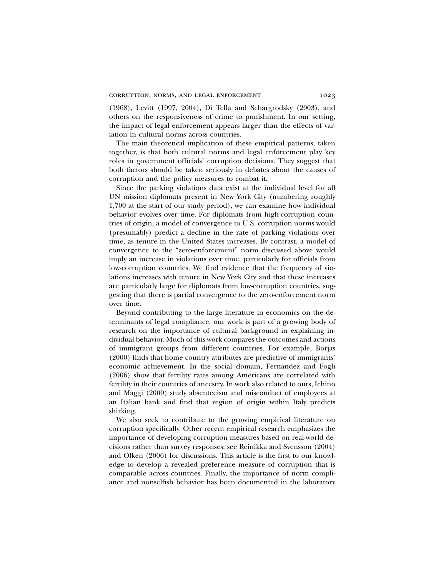(1968), Levitt (1997, 2004), Di Tella and Schargrodsky (2003), and others on the responsiveness of crime to punishment. In our setting, the impact of legal enforcement appears larger than the effects of variation in cultural norms across countries.

The main theoretical implication of these empirical patterns, taken together, is that both cultural norms and legal enforcement play key roles in government officials' corruption decisions. They suggest that both factors should be taken seriously in debates about the causes of corruption and the policy measures to combat it.

Since the parking violations data exist at the individual level for all UN mission diplomats present in New York City (numbering roughly 1,700 at the start of our study period), we can examine how individual behavior evolves over time. For diplomats from high-corruption countries of origin, a model of convergence to U.S. corruption norms would (presumably) predict a decline in the rate of parking violations over time, as tenure in the United States increases. By contrast, a model of convergence to the "zero-enforcement" norm discussed above would imply an increase in violations over time, particularly for officials from low-corruption countries. We find evidence that the frequency of violations increases with tenure in New York City and that these increases are particularly large for diplomats from low-corruption countries, suggesting that there is partial convergence to the zero-enforcement norm over time.

Beyond contributing to the large literature in economics on the determinants of legal compliance, our work is part of a growing body of research on the importance of cultural background in explaining individual behavior. Much of this work compares the outcomes and actions of immigrant groups from different countries. For example, Borjas (2000) finds that home country attributes are predictive of immigrants' economic achievement. In the social domain, Fernandez and Fogli (2006) show that fertility rates among Americans are correlated with fertility in their countries of ancestry. In work also related to ours, Ichino and Maggi (2000) study absenteeism and misconduct of employees at an Italian bank and find that region of origin within Italy predicts shirking.

We also seek to contribute to the growing empirical literature on corruption specifically. Other recent empirical research emphasizes the importance of developing corruption measures based on real-world decisions rather than survey responses; see Reinikka and Svensson (2004) and Olken (2006) for discussions. This article is the first to our knowledge to develop a revealed preference measure of corruption that is comparable across countries. Finally, the importance of norm compliance and nonselfish behavior has been documented in the laboratory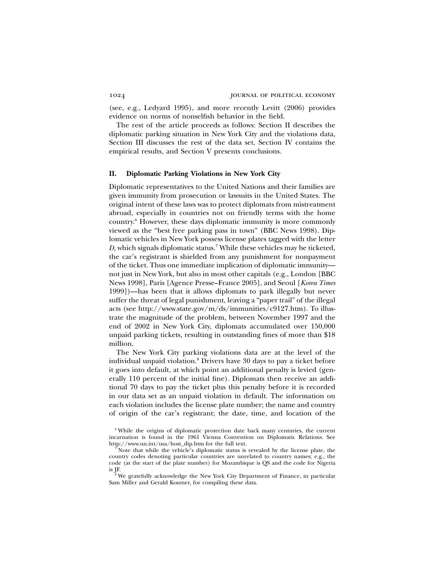(see, e.g., Ledyard 1995), and more recently Levitt (2006) provides evidence on norms of nonselfish behavior in the field.

The rest of the article proceeds as follows: Section II describes the diplomatic parking situation in New York City and the violations data, Section III discusses the rest of the data set, Section IV contains the empirical results, and Section V presents conclusions.

## **II. Diplomatic Parking Violations in New York City**

Diplomatic representatives to the United Nations and their families are given immunity from prosecution or lawsuits in the United States. The original intent of these laws was to protect diplomats from mistreatment abroad, especially in countries not on friendly terms with the home country.6 However, these days diplomatic immunity is more commonly viewed as the "best free parking pass in town" (BBC News 1998). Diplomatic vehicles in New York possess license plates tagged with the letter *D*, which signals diplomatic status.<sup>7</sup> While these vehicles may be ticketed, the car's registrant is shielded from any punishment for nonpayment of the ticket. Thus one immediate implication of diplomatic immunity not just in New York, but also in most other capitals (e.g., London [BBC News 1998], Paris [Agence Presse–France 2005], and Seoul [*Korea Times* 1999])—has been that it allows diplomats to park illegally but never suffer the threat of legal punishment, leaving a "paper trail" of the illegal acts (see http://www.state.gov/m/ds/immunities/c9127.htm). To illustrate the magnitude of the problem, between November 1997 and the end of 2002 in New York City, diplomats accumulated over 150,000 unpaid parking tickets, resulting in outstanding fines of more than \$18 million.

The New York City parking violations data are at the level of the individual unpaid violation.8 Drivers have 30 days to pay a ticket before it goes into default, at which point an additional penalty is levied (generally 110 percent of the initial fine). Diplomats then receive an additional 70 days to pay the ticket plus this penalty before it is recorded in our data set as an unpaid violation in default. The information on each violation includes the license plate number; the name and country of origin of the car's registrant; the date, time, and location of the

<sup>&</sup>lt;sup>6</sup> While the origins of diplomatic protection date back many centuries, the current incarnation is found in the 1961 Vienna Convention on Diplomatic Relations. See http://www.un.int/usa/host\_dip.htm for the full text.

<sup>7</sup> Note that while the vehicle's diplomatic status is revealed by the license plate, the country codes denoting particular countries are unrelated to country names; e.g., the code (at the start of the plate number) for Mozambique is QS and the code for Nigeria is JF.

<sup>&</sup>lt;sup>8</sup> We gratefully acknowledge the New York City Department of Finance, in particular Sam Miller and Gerald Koszner, for compiling these data.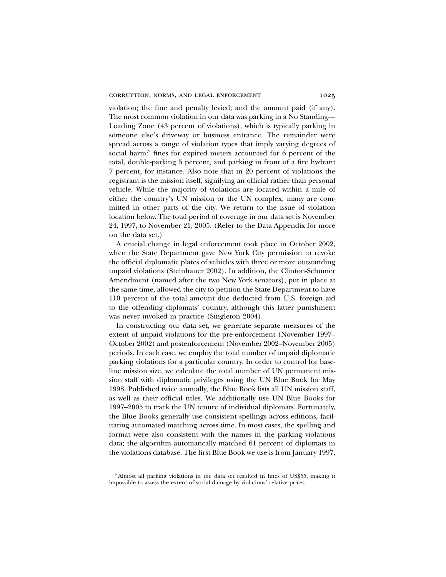violation; the fine and penalty levied; and the amount paid (if any). The most common violation in our data was parking in a No Standing— Loading Zone (43 percent of violations), which is typically parking in someone else's driveway or business entrance. The remainder were spread across a range of violation types that imply varying degrees of social harm:<sup>9</sup> fines for expired meters accounted for 6 percent of the total, double-parking 5 percent, and parking in front of a fire hydrant 7 percent, for instance. Also note that in 20 percent of violations the registrant is the mission itself, signifying an official rather than personal vehicle. While the majority of violations are located within a mile of either the country's UN mission or the UN complex, many are committed in other parts of the city. We return to the issue of violation location below. The total period of coverage in our data set is November 24, 1997, to November 21, 2005. (Refer to the Data Appendix for more on the data set.)

A crucial change in legal enforcement took place in October 2002, when the State Department gave New York City permission to revoke the official diplomatic plates of vehicles with three or more outstanding unpaid violations (Steinhauer 2002). In addition, the Clinton-Schumer Amendment (named after the two New York senators), put in place at the same time, allowed the city to petition the State Department to have 110 percent of the total amount due deducted from U.S. foreign aid to the offending diplomats' country, although this latter punishment was never invoked in practice (Singleton 2004).

In constructing our data set, we generate separate measures of the extent of unpaid violations for the pre-enforcement (November 1997– October 2002) and postenforcement (November 2002–November 2005) periods. In each case, we employ the total number of unpaid diplomatic parking violations for a particular country. In order to control for baseline mission size, we calculate the total number of UN permanent mission staff with diplomatic privileges using the UN Blue Book for May 1998. Published twice annually, the Blue Book lists all UN mission staff, as well as their official titles. We additionally use UN Blue Books for 1997–2005 to track the UN tenure of individual diplomats. Fortunately, the Blue Books generally use consistent spellings across editions, facilitating automated matching across time. In most cases, the spelling and format were also consistent with the names in the parking violations data; the algorithm automatically matched 61 percent of diplomats in the violations database. The first Blue Book we use is from January 1997,

<sup>9</sup> Almost all parking violations in the data set resulted in fines of US\$55, making it impossible to assess the extent of social damage by violations' relative prices.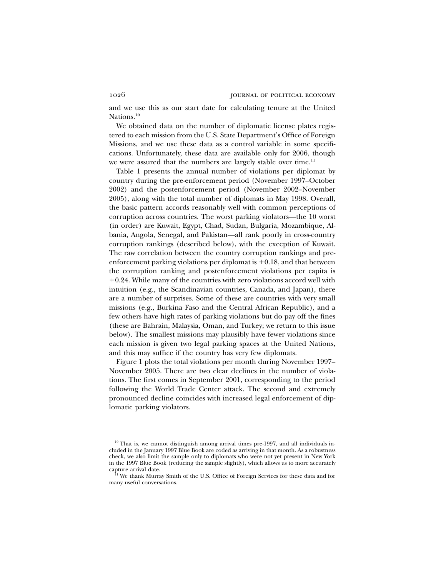and we use this as our start date for calculating tenure at the United Nations.<sup>10</sup>

We obtained data on the number of diplomatic license plates registered to each mission from the U.S. State Department's Office of Foreign Missions, and we use these data as a control variable in some specifications. Unfortunately, these data are available only for 2006, though we were assured that the numbers are largely stable over time.<sup>11</sup>

Table 1 presents the annual number of violations per diplomat by country during the pre-enforcement period (November 1997–October 2002) and the postenforcement period (November 2002–November 2005), along with the total number of diplomats in May 1998. Overall, the basic pattern accords reasonably well with common perceptions of corruption across countries. The worst parking violators—the 10 worst (in order) are Kuwait, Egypt, Chad, Sudan, Bulgaria, Mozambique, Albania, Angola, Senegal, and Pakistan—all rank poorly in cross-country corruption rankings (described below), with the exception of Kuwait. The raw correlation between the country corruption rankings and preenforcement parking violations per diplomat is  $+0.18$ , and that between the corruption ranking and postenforcement violations per capita is  $+0.24$ . While many of the countries with zero violations accord well with intuition (e.g., the Scandinavian countries, Canada, and Japan), there are a number of surprises. Some of these are countries with very small missions (e.g., Burkina Faso and the Central African Republic), and a few others have high rates of parking violations but do pay off the fines (these are Bahrain, Malaysia, Oman, and Turkey; we return to this issue below). The smallest missions may plausibly have fewer violations since each mission is given two legal parking spaces at the United Nations, and this may suffice if the country has very few diplomats.

Figure 1 plots the total violations per month during November 1997– November 2005. There are two clear declines in the number of violations. The first comes in September 2001, corresponding to the period following the World Trade Center attack. The second and extremely pronounced decline coincides with increased legal enforcement of diplomatic parking violators.

<sup>&</sup>lt;sup>10</sup> That is, we cannot distinguish among arrival times pre-1997, and all individuals included in the January 1997 Blue Book are coded as arriving in that month. As a robustness check, we also limit the sample only to diplomats who were not yet present in New York in the 1997 Blue Book (reducing the sample slightly), which allows us to more accurately capture arrival date.

<sup>&</sup>lt;sup>11</sup> We thank Murray Smith of the U.S. Office of Foreign Services for these data and for many useful conversations.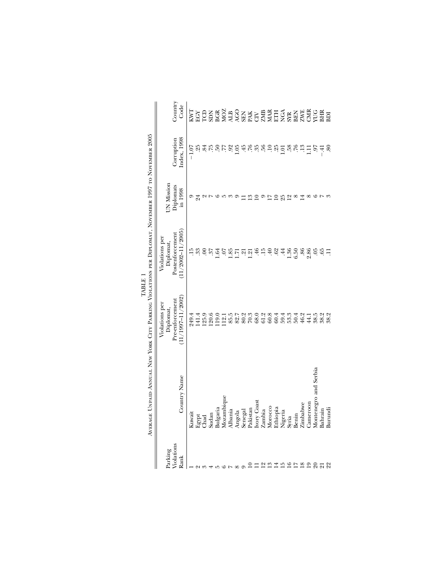|                               | AVERAGE UNPAID ANNUAL NEW YORK CITY PARKING VIOLATIONS PER DIPLOMAT, NOVEMBER 1997 TO NOVEMBER 2005 |                                                                         | TABLE 1                                                                 |                                       |                           |                                 |
|-------------------------------|-----------------------------------------------------------------------------------------------------|-------------------------------------------------------------------------|-------------------------------------------------------------------------|---------------------------------------|---------------------------|---------------------------------|
| Violations<br>Parking<br>Rank | Country Name                                                                                        | $(11/1997 - 11/2002)$<br>Pre-enforcement<br>Violations per<br>Diplomat, | $(11/2002 - 11/2005)$<br>Postenforcement<br>Violations per<br>Diplomat, | UN<br>Mission<br>Diplomats<br>in 1998 | Index, 1998<br>Corruption | Country<br>Code                 |
|                               | Kuwai                                                                                               | 249.4                                                                   | -15                                                                     |                                       | $-1.07$                   | $\mathbb{K}\mathbb{N}$          |
|                               |                                                                                                     | 141.4                                                                   | 33                                                                      |                                       |                           | EGY                             |
|                               | Egypt<br>Chad                                                                                       | 125.9                                                                   | $\mathcal{S}$                                                           |                                       | 34.84                     |                                 |
|                               | Sudan                                                                                               | 20.6                                                                    | $\ddot{c}$                                                              |                                       | 75                        | <b>FEBRUARY SERVER SERVERES</b> |
|                               |                                                                                                     | 19.0                                                                    | .64                                                                     |                                       | $\ddot{5}$                |                                 |
|                               | Bulgaria<br>Mozambique                                                                              | 12.1                                                                    | $50$ .                                                                  |                                       | 77                        |                                 |
|                               | Albania                                                                                             | 85.5                                                                    | .85                                                                     |                                       | 92                        |                                 |
|                               | Angola                                                                                              | 82.7                                                                    | $\overline{5}$                                                          |                                       | 05                        |                                 |
|                               |                                                                                                     | 80.2                                                                    | $\ddot{\mathcal{E}}$                                                    |                                       | 45                        |                                 |
|                               | Senegal<br>Pakistan                                                                                 | $70.3\,$                                                                | $\overline{1}$ .21                                                      |                                       | $76$<br>$35$              |                                 |
|                               | Ivory Coast                                                                                         | 68.0                                                                    | $\ddot{ }$                                                              |                                       |                           |                                 |
| 12                            | Zambia                                                                                              |                                                                         | Ë                                                                       |                                       | 56                        |                                 |
| $\frac{3}{2}$                 | Morocco                                                                                             | 61.2<br>60.8                                                            | <del>্য</del>                                                           |                                       | $\ddot{=}$                |                                 |
|                               | Ethiopia                                                                                            | 60.4                                                                    | .62                                                                     |                                       | 55                        |                                 |
| $\overline{15}$               | Nigeria                                                                                             | 59.4                                                                    | 4                                                                       |                                       | 1.01                      |                                 |
| 16                            | Syria                                                                                               | 53.3                                                                    | 1.36                                                                    | $\bar{\mathbb{Z}}$                    | 38.76                     |                                 |
| $\overline{17}$               | Benin                                                                                               | 50.4                                                                    | 6.50                                                                    |                                       |                           |                                 |
| $18\,$                        | Zimbabwe                                                                                            | 46.2                                                                    | 86                                                                      |                                       | .13                       |                                 |
| $\overline{19}$               | Cameroon                                                                                            | 44.1                                                                    | 2.86                                                                    |                                       | Ξ                         |                                 |
| $20\,$                        | Montenegro and Serbia                                                                               | 38.5                                                                    | 05                                                                      |                                       | 16                        |                                 |
| $\overline{21}$               | Bahrain                                                                                             | 38.2                                                                    | 65                                                                      |                                       | $-41$                     |                                 |
| 22                            | Burundi                                                                                             | 38.2                                                                    |                                                                         |                                       | $\overline{80}$           |                                 |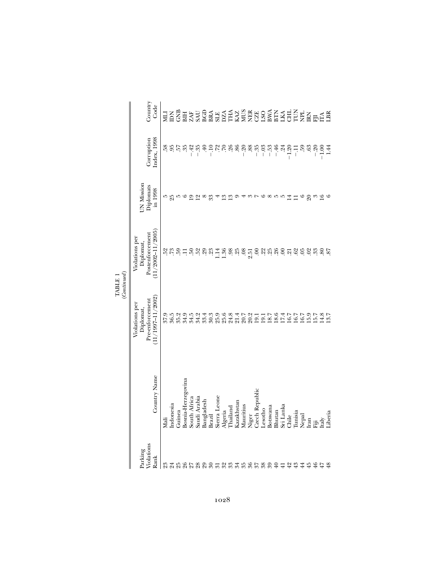|                               |                          |                                                                         | (Continued)<br>TABLE 1                                                |                                       |                           |                 |
|-------------------------------|--------------------------|-------------------------------------------------------------------------|-----------------------------------------------------------------------|---------------------------------------|---------------------------|-----------------|
| Violations<br>Parking<br>Rank | Country Name             | $(11/1997 - 11/2002)$<br>Pre-enforcement<br>Violations per<br>Diplomat, | $11/2002 - 11/2005$<br>Postenforcement<br>Violations per<br>Diplomat, | UN<br>Mission<br>Diplomats<br>in 1998 | Index, 1998<br>Corruption | Country<br>Code |
| 23                            | Mali                     | 37.9<br>36.5                                                            | 52<br>73                                                              | 10 RO                                 | 59553                     | ЦІМ             |
| $\mathbb{Z}^4$                | Indonesia                |                                                                         |                                                                       |                                       |                           | ă               |
|                               | Guinea                   |                                                                         | 59                                                                    | IJ                                    |                           | B<br>GNB        |
| 225232552355555555            | Bosnia-Herzegovina       | 23<br>23<br>23<br>23                                                    | Ξ                                                                     |                                       |                           |                 |
|                               | South Africa             |                                                                         | <u>្ទដំ ខ្ញុំ</u>                                                     | G                                     |                           |                 |
|                               | Saudi Arabia             |                                                                         |                                                                       | N                                     | $-42$<br>$-35$            |                 |
|                               | Bangladesh               | 33.4                                                                    |                                                                       |                                       | $\ddot{ }$                |                 |
|                               | Brazil                   |                                                                         | 23                                                                    |                                       | $-10$                     |                 |
|                               | Sierra Leone             |                                                                         | $\vec{=}$                                                             |                                       | .72                       |                 |
|                               | Algeria                  |                                                                         | $\ddot{36}$                                                           | w                                     | $\dot{\mathcal{L}}$       |                 |
|                               | Chailand                 |                                                                         | 98                                                                    | S                                     | .26                       |                 |
|                               | Kazakhstan               |                                                                         | 25                                                                    |                                       | .86                       |                 |
|                               | Mauritius                |                                                                         | .08                                                                   |                                       | $-38$                     |                 |
|                               | Niger                    |                                                                         | 2.51                                                                  |                                       |                           |                 |
|                               | Czech Republic           | 888888888888887887                                                      | $\ddot{\mathrm{S}}$                                                   |                                       | $-0.35$                   |                 |
|                               | Lesotho                  |                                                                         | .22                                                                   |                                       | $-0.9$                    |                 |
|                               | Botswana                 |                                                                         | 55                                                                    |                                       | $-53$                     |                 |
| $\triangleq$                  | Bhutan                   |                                                                         | .26                                                                   |                                       | $-46$                     |                 |
| $\ddot{+}$                    | Sri Lanka                |                                                                         | $\mathcal{S}$                                                         |                                       | .24                       |                 |
| 잎                             | Chile                    |                                                                         | $\ddot{5}$                                                            |                                       | $-1.20$                   |                 |
|                               |                          |                                                                         | .62                                                                   |                                       | 류                         |                 |
| 4                             |                          | 16.7                                                                    | 60                                                                    |                                       | 59.                       |                 |
|                               | Tunisia<br>Nepal<br>Iran | 15.7                                                                    | $\frac{8}{3}$                                                         |                                       | .63                       |                 |
| $\frac{4}{6}$                 | ;≒                       |                                                                         |                                                                       |                                       |                           |                 |
|                               | Italy<br>Liberia         | $\frac{14.8}{13.7}$                                                     | $rac{6}{8}$                                                           |                                       | $-30$<br>$-1.44$          |                 |
| $\frac{8}{3}$                 |                          |                                                                         |                                                                       |                                       |                           |                 |

1028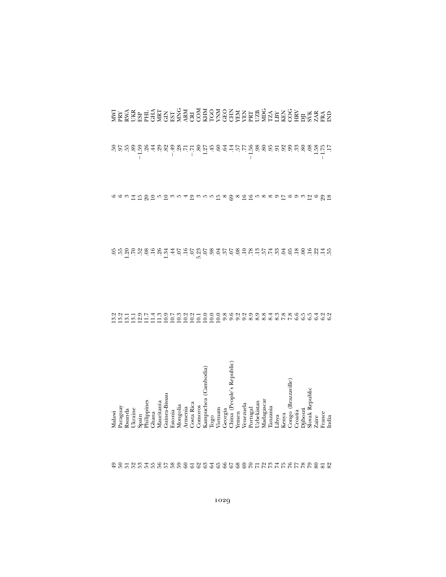| \$ 유도워유 부품은 눈 % 운용 모양 않 볶 % 양 눈 % 양 운드 보 있 노 수 눈 눈 눈 눈 눈 아 그 않 | Malawi<br>Malawi<br>Raraguay<br>Rwanda<br>Rwanda<br>Spain Baraguay<br>Spain Baraguay<br>Chrispines<br>Ghinapines<br>Mauritania<br>Mongolia<br>Mongolia<br>Konia<br>Cosa Rica<br>Togo Coman<br>Vieman<br>Vieman<br>Vieman<br>Vieman<br>Vieman<br>Vieman<br>Vieman<br>Viema |  | e presentation de la construcción de la construcción de la construcción de la construcción de la construcción<br>El presentation de la construcción de la construcción de la construcción de la construcción de la construcción |  |
|----------------------------------------------------------------|---------------------------------------------------------------------------------------------------------------------------------------------------------------------------------------------------------------------------------------------------------------------------|--|---------------------------------------------------------------------------------------------------------------------------------------------------------------------------------------------------------------------------------|--|
|                                                                |                                                                                                                                                                                                                                                                           |  |                                                                                                                                                                                                                                 |  |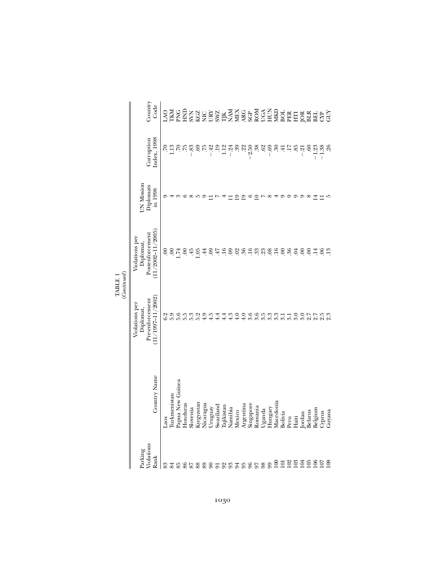|                               |                        |                                                                         | (Continued)<br>TABLE 1                                                |                                    |                           |                             |
|-------------------------------|------------------------|-------------------------------------------------------------------------|-----------------------------------------------------------------------|------------------------------------|---------------------------|-----------------------------|
| Violations<br>Parking<br>Rank | Country Name           | $(11/1997 - 11/2002)$<br>Pre-enforcement<br>Violations per<br>Diplomat, | $11/2002 - 11/2005$<br>Postenforcement<br>Violations per<br>Diplomat, | UN Mission<br>Diplomats<br>in 1998 | Index, 1998<br>Corruption | Country<br>Code             |
|                               |                        |                                                                         |                                                                       |                                    |                           |                             |
| $83\,$                        | Laos                   | $6.\overline{9}$                                                        | $\frac{8}{2}$                                                         | ග                                  | $^{70}_{1.13}$            | Q                           |
| 84                            | Turkmenistan           |                                                                         |                                                                       | +                                  |                           | IKM                         |
|                               | Papua New Guinea       | 5.6                                                                     | .74                                                                   | $\infty$                           |                           | PNG                         |
|                               | Honduras               |                                                                         | S.                                                                    | ం                                  |                           |                             |
|                               | Slovenia               | 2020 2020<br>2020 2021                                                  | $\ddot{+}$                                                            | $^{\circ}$                         | 5.58885                   |                             |
|                               | Kyrgyzstan             |                                                                         | 05                                                                    |                                    |                           |                             |
|                               | Nicaragua              |                                                                         | $\ddot{4}$                                                            |                                    |                           |                             |
|                               | Uruguay                |                                                                         | $_{0.0}$                                                              |                                    | $-.42$                    |                             |
|                               | Swaziland              | 4.4                                                                     | 47                                                                    |                                    | $\overline{19}$           |                             |
|                               | Tajikistan             | 4.4                                                                     |                                                                       |                                    | 1.12                      |                             |
|                               | Namibia                | 4.3                                                                     | $\frac{16}{09}$                                                       | Ξ                                  | $-0.24$                   |                             |
|                               | Mexico                 | 4.0                                                                     | 0 <sup>2</sup>                                                        | ഉ                                  |                           |                             |
|                               |                        | 4.0                                                                     | 36                                                                    | $\overline{9}$                     | $-2.50$<br>$-2.50$        |                             |
|                               | Argentina<br>Singapore |                                                                         | 16 <sub>33</sub>                                                      | $\circ$                            |                           |                             |
|                               | Romania                |                                                                         |                                                                       | $\supseteq$                        | 38                        |                             |
| 98                            | Uganda                 |                                                                         | .23                                                                   | 1                                  | .62                       |                             |
|                               | Hungary                | င်း<br>ထိုက်မွေးပွဲမေမြေ                                                | $\overline{0}$                                                        | $^{\circ}$                         | $-0.69$                   | ESCUBBE ESTRES ES ERRETORES |
| 100                           | Macedonia              |                                                                         |                                                                       |                                    | $\ddot{S}$                |                             |
|                               | Bolivia                |                                                                         | 48.8                                                                  | ం                                  | 41                        |                             |
| $\frac{101}{103}$             | Peru                   | 3.1                                                                     |                                                                       | ာ                                  | H.                        |                             |
|                               | Haiti                  | $\rm ^{3.0}$                                                            | $\overline{0}$                                                        | G                                  | 85                        |                             |
| 104                           | ordan                  |                                                                         | $\infty$                                                              | ౚ                                  | $-21$                     |                             |
| 105                           | Belarus                | 3.77                                                                    | $\infty$                                                              | $^{\circ}$                         | .60                       |                             |
| 106                           | Belgium                |                                                                         | $\overline{14}$                                                       | 4                                  | $-1.23$                   |                             |
| 107                           | Cyprus                 | 2.5<br>2.3                                                              | $rac{6}{13}$                                                          |                                    | $-1.38$                   |                             |
| 108                           | Guyana                 |                                                                         |                                                                       | ⊟ "                                | .26                       |                             |
|                               |                        |                                                                         |                                                                       |                                    |                           |                             |
|                               |                        |                                                                         |                                                                       |                                    |                           |                             |
|                               |                        |                                                                         |                                                                       |                                    |                           |                             |
|                               |                        |                                                                         |                                                                       |                                    |                           |                             |

1030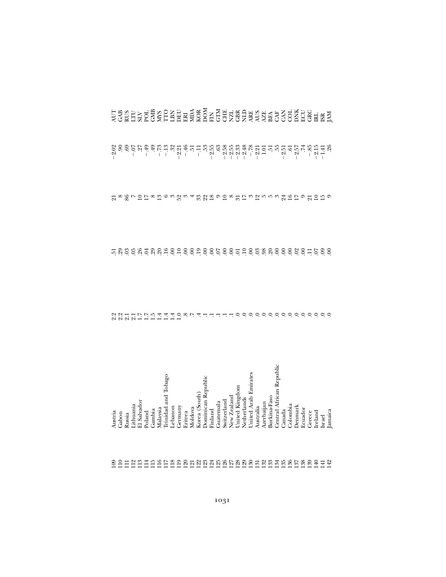| El Salvador<br>ithuania                                                            |                                                                  |                           |                                                                                                               | $-2.02$                                            |
|------------------------------------------------------------------------------------|------------------------------------------------------------------|---------------------------|---------------------------------------------------------------------------------------------------------------|----------------------------------------------------|
| Gambia<br>Poland                                                                   | Malaysia<br>Irinidad and Tobago                                  | 2 1 1 1 1 1 1 1 1 1 1 2 2 |                                                                                                               |                                                    |
| Germany<br>Eritrea<br>Moldova<br>Lebanon                                           | Korea (South)<br>Dominican Republic                              |                           |                                                                                                               |                                                    |
| Guatemala<br>Finland                                                               | Switzerland<br>New Zealand<br>United Kingdom<br>Netherlands      |                           |                                                                                                               |                                                    |
| Azerbaijan<br>Australia                                                            | Burkina-Faso<br>Central African Republic<br>United Arab Emirates |                           |                                                                                                               |                                                    |
| Colombia<br>Denmarl<br>Ecuador<br>Canada<br>Greece<br>Ireland<br>Israel<br>Jamaica |                                                                  | 00000000000               | 幻 8 % 7 12 12 8 12 6 3 12 3 4 % 22 12 9 12 8 32 12 5 2 2 2 2 2 1 5 2 1 5 2 12 5 1 2 1 5 1 0 1 1 1 1 1 1 1 1 1 | <u>FERER ER ERRES ERRES ER ER ER ER ER ER ER E</u> |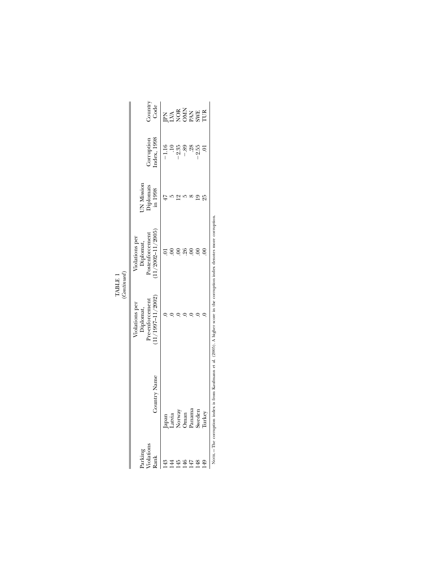|                               |                                                               |                                                                       | $\begin{array}{ll} \text{TABLE 1} \\ \text{(Continued)} \end{array}$ |                                    |                           |                            |
|-------------------------------|---------------------------------------------------------------|-----------------------------------------------------------------------|----------------------------------------------------------------------|------------------------------------|---------------------------|----------------------------|
| Violations<br>Parking<br>Rank | Country Name                                                  | $11/1997 - 11/2002$<br>Pre-enforcement<br>Violations per<br>Diplomat, | 11/2002-11/2005)<br>Postenforcement<br>Violations per<br>Diplomat,   | UN Mission<br>Diplomats<br>in 1998 | Corruption<br>Index, 1998 | Country<br>Code            |
| 143                           |                                                               |                                                                       |                                                                      |                                    | -1.16                     |                            |
| 144                           |                                                               |                                                                       |                                                                      |                                    |                           |                            |
| 145                           | Japan<br>Latvia<br>Norway<br>Oman<br>Oman<br>Panama<br>Panama |                                                                       |                                                                      |                                    | $-2.35$                   | <b>EXAMENT</b><br>EXPORTED |
| 146                           |                                                               |                                                                       |                                                                      |                                    |                           |                            |
| 147                           |                                                               |                                                                       |                                                                      |                                    | <b>88</b>                 |                            |
| $\frac{48}{5}$                |                                                               |                                                                       |                                                                      |                                    | $-2.55$                   |                            |
| 149                           | Turkey                                                        |                                                                       |                                                                      |                                    |                           |                            |
| i<br>;                        | 化氧化物 计标准                                                      | ディティー ノミくくく デー・コー                                                     | -<br>-<br>-                                                          |                                    |                           |                            |

NorE-The corruption index is from Kaufmann et al. (2005). A higher score in the corruption index denotes more corruption. Note.—The corruption index is from Kaufmann et al. (2005). A higher score in the corruption index denotes more corruption.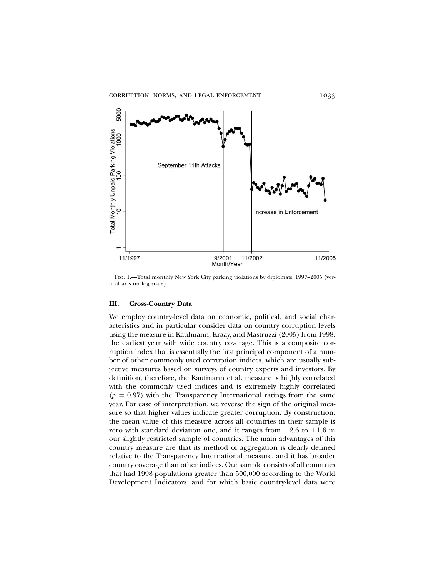

Fig. 1.—Total monthly New York City parking violations by diplomats, 1997–2005 (vertical axis on log scale).

## **III. Cross-Country Data**

We employ country-level data on economic, political, and social characteristics and in particular consider data on country corruption levels using the measure in Kaufmann, Kraay, and Mastruzzi (2005) from 1998, the earliest year with wide country coverage. This is a composite corruption index that is essentially the first principal component of a number of other commonly used corruption indices, which are usually subjective measures based on surveys of country experts and investors. By definition, therefore, the Kaufmann et al. measure is highly correlated with the commonly used indices and is extremely highly correlated  $(\rho = 0.97)$  with the Transparency International ratings from the same year. For ease of interpretation, we reverse the sign of the original measure so that higher values indicate greater corruption. By construction, the mean value of this measure across all countries in their sample is zero with standard deviation one, and it ranges from  $-2.6$  to  $+1.6$  in our slightly restricted sample of countries. The main advantages of this country measure are that its method of aggregation is clearly defined relative to the Transparency International measure, and it has broader country coverage than other indices. Our sample consists of all countries that had 1998 populations greater than 500,000 according to the World Development Indicators, and for which basic country-level data were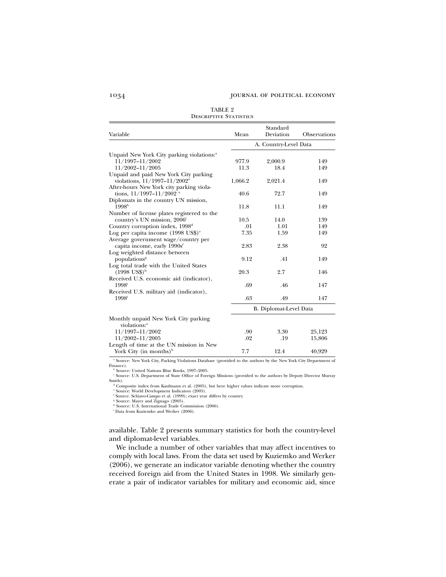| <b>TABLE 2</b>         |  |
|------------------------|--|
| Descriptive Statistics |  |

| Variable                                                                          | Mean    | Standard<br>Deviation  | Observations |
|-----------------------------------------------------------------------------------|---------|------------------------|--------------|
|                                                                                   |         | A. Country-Level Data  |              |
| Unpaid New York City parking violations: <sup>a</sup>                             |         |                        |              |
| 11/1997-11/2002                                                                   | 977.9   | 2,000.9                | 149          |
| 11/2002-11/2005                                                                   | 11.3    | 18.4                   | 149          |
| Unpaid and paid New York City parking<br>violations, 11/1997-11/2002 <sup>a</sup> | 1,066.2 | 2,021.4                | 149          |
| After-hours New York city parking viola-                                          |         |                        |              |
| tions, $11/1997-11/2002$ <sup>a</sup>                                             | 40.6    | 72.7                   | 149          |
| Diplomats in the country UN mission,<br>1998 <sup>b</sup>                         | 11.8    | 11.1                   | 149          |
| Number of license plates registered to the                                        |         |                        |              |
| country's UN mission, 2006 <sup>c</sup>                                           | 10.5    | 14.0                   | 139          |
| Country corruption index, 1998 <sup>d</sup>                                       | .01     | 1.01                   | 149          |
| Log per capita income $(1998 \text{ US})^{\text{e}}$                              | 7.35    | 1.59                   | 149          |
| Average government wage/country per<br>capita income, early 1990s <sup>f</sup>    | 2.83    | 2.38                   | 92           |
| Log weighted distance between                                                     |         |                        |              |
| populations <sup>8</sup>                                                          | 9.12    | .41                    | 149          |
| Log total trade with the United States<br>$(1998 \text{ US})^{\text{h}}$          | 20.3    | 2.7                    | 146          |
| Received U.S. economic aid (indicator),                                           |         |                        |              |
| $1998^{\rm i}$                                                                    | .69     | .46                    | 147          |
| Received U.S. military aid (indicator),                                           |         |                        |              |
| 1998 <sup>i</sup>                                                                 | .63     | .49                    | 147          |
|                                                                                   |         | B. Diplomat-Level Data |              |
| Monthly unpaid New York City parking<br>violations: <sup>a</sup>                  |         |                        |              |
| 11/1997-11/2002                                                                   | .90     | 3.30                   | 25,123       |
| 11/2002-11/2005                                                                   | .02     | .19                    | 15,806       |
| Length of time at the UN mission in New                                           |         |                        |              |
| York City (in months) <sup>b</sup>                                                | 7.7     | 12.4                   | 40,929       |

<sup>a</sup> Source: New York City, Parking Violations Database (provided to the authors by the New York City Department of Finance).

<sup>b</sup> Source: United Nations Blue Books, 1997–2005. <sup>c</sup> Source: U.S. Department of State Office of Foreign Missions (provided to the authors by Deputy Director Murray Smith).

<sup>d</sup> Composite index from Kaufmann et al. (2005), but here higher values indicate more corruption. <sup>e</sup> Source: World Development Indicators (2005).

<sup>f</sup> Source: Schiavo-Campo et al. (1999); exact year differs by country.

<sup>g</sup> Source: Mayer and Zignago (2005).<br><sup>h</sup> Source: U.S. International Trade Commission (2006).

<sup>i</sup> Data from Kuziemko and Werker (2006).

available. Table 2 presents summary statistics for both the country-level and diplomat-level variables.

We include a number of other variables that may affect incentives to comply with local laws. From the data set used by Kuziemko and Werker (2006), we generate an indicator variable denoting whether the country received foreign aid from the United States in 1998. We similarly generate a pair of indicator variables for military and economic aid, since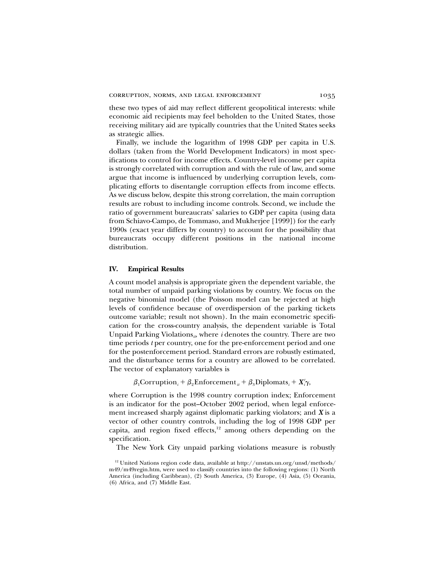these two types of aid may reflect different geopolitical interests: while economic aid recipients may feel beholden to the United States, those receiving military aid are typically countries that the United States seeks as strategic allies.

Finally, we include the logarithm of 1998 GDP per capita in U.S. dollars (taken from the World Development Indicators) in most specifications to control for income effects. Country-level income per capita is strongly correlated with corruption and with the rule of law, and some argue that income is influenced by underlying corruption levels, complicating efforts to disentangle corruption effects from income effects. As we discuss below, despite this strong correlation, the main corruption results are robust to including income controls. Second, we include the ratio of government bureaucrats' salaries to GDP per capita (using data from Schiavo-Campo, de Tommaso, and Mukherjee [1999]) for the early 1990s (exact year differs by country) to account for the possibility that bureaucrats occupy different positions in the national income distribution.

# **IV. Empirical Results**

A count model analysis is appropriate given the dependent variable, the total number of unpaid parking violations by country. We focus on the negative binomial model (the Poisson model can be rejected at high levels of confidence because of overdispersion of the parking tickets outcome variable; result not shown). In the main econometric specification for the cross-country analysis, the dependent variable is Total Unpaid Parking Violations<sub>it</sub>, where *i* denotes the country. There are two time periods *t* per country, one for the pre-enforcement period and one for the postenforcement period. Standard errors are robustly estimated, and the disturbance terms for a country are allowed to be correlated. The vector of explanatory variables is

 $\beta_1$ Corruption  $_i + \beta_2$ Enforcement  $_i + \beta_3$ Diplomats  $_i + X_i'$ ,

where Corruption is the 1998 country corruption index; Enforcement is an indicator for the post–October 2002 period, when legal enforcement increased sharply against diplomatic parking violators; and *X* is a vector of other country controls, including the log of 1998 GDP per capita, and region fixed effects, $12$  among others depending on the specification.

The New York City unpaid parking violations measure is robustly

<sup>&</sup>lt;sup>12</sup> United Nations region code data, available at http://unstats.un.org/unsd/methods/ m49/m49regin.htm, were used to classify countries into the following regions: (1) North America (including Caribbean), (2) South America, (3) Europe, (4) Asia, (5) Oceania, (6) Africa, and (7) Middle East.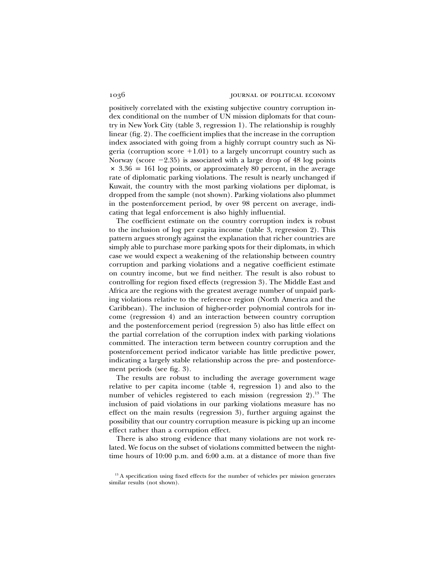positively correlated with the existing subjective country corruption index conditional on the number of UN mission diplomats for that country in New York City (table 3, regression 1). The relationship is roughly linear (fig. 2). The coefficient implies that the increase in the corruption index associated with going from a highly corrupt country such as Nigeria (corruption score  $+1.01$ ) to a largely uncorrupt country such as Norway (score -2.35) is associated with a large drop of 48 log points  $\times$  3.36 = 161 log points, or approximately 80 percent, in the average rate of diplomatic parking violations. The result is nearly unchanged if Kuwait, the country with the most parking violations per diplomat, is dropped from the sample (not shown). Parking violations also plummet in the postenforcement period, by over 98 percent on average, indicating that legal enforcement is also highly influential.

The coefficient estimate on the country corruption index is robust to the inclusion of log per capita income (table 3, regression 2). This pattern argues strongly against the explanation that richer countries are simply able to purchase more parking spots for their diplomats, in which case we would expect a weakening of the relationship between country corruption and parking violations and a negative coefficient estimate on country income, but we find neither. The result is also robust to controlling for region fixed effects (regression 3). The Middle East and Africa are the regions with the greatest average number of unpaid parking violations relative to the reference region (North America and the Caribbean). The inclusion of higher-order polynomial controls for income (regression 4) and an interaction between country corruption and the postenforcement period (regression 5) also has little effect on the partial correlation of the corruption index with parking violations committed. The interaction term between country corruption and the postenforcement period indicator variable has little predictive power, indicating a largely stable relationship across the pre- and postenforcement periods (see fig. 3).

The results are robust to including the average government wage relative to per capita income (table 4, regression 1) and also to the number of vehicles registered to each mission (regression 2).<sup>13</sup> The inclusion of paid violations in our parking violations measure has no effect on the main results (regression 3), further arguing against the possibility that our country corruption measure is picking up an income effect rather than a corruption effect.

There is also strong evidence that many violations are not work related. We focus on the subset of violations committed between the nighttime hours of 10:00 p.m. and 6:00 a.m. at a distance of more than five

<sup>&</sup>lt;sup>13</sup> A specification using fixed effects for the number of vehicles per mission generates similar results (not shown).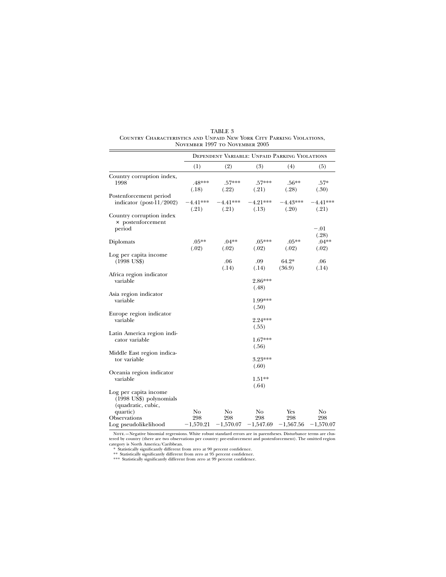|                                                  |                |                | DEPENDENT VARIABLE: UNPAID PARKING VIOLATIONS |            |                         |
|--------------------------------------------------|----------------|----------------|-----------------------------------------------|------------|-------------------------|
|                                                  | (1)            | (2)            | (3)                                           | (4)        | (5)                     |
| Country corruption index,                        |                |                |                                               |            |                         |
| 1998                                             | .48***         | $.57***$       | $.57***$                                      | $.56**$    | $.57*$                  |
|                                                  | (.18)          | (.22)          | (.21)                                         | (.28)      | (.30)                   |
| Postenforcement period                           |                |                |                                               |            |                         |
| indicator (post-11/2002)                         | $-4.41***$     | $-4.41***$     | $-4.21***$                                    | $-4.43***$ | $-4.41***$              |
|                                                  | (.21)          | (.21)          | (.13)                                         | (.20)      | (.21)                   |
| Country corruption index<br>× postenforcement    |                |                |                                               |            |                         |
| period                                           |                |                |                                               |            | $-.01$                  |
|                                                  |                |                |                                               |            | (.28)                   |
| Diplomats                                        | $.05***$       | $.04**$        | $.05***$                                      | $.05**$    | $.04**$                 |
|                                                  | (.02)          | (.02)          | (.02)                                         | (.02)      | (.02)                   |
| Log per capita income                            |                |                |                                               |            |                         |
| $(1998$ US\$)                                    |                | .06            | .09                                           | 64.2*      | .06                     |
|                                                  |                | (.14)          | (.14)                                         | (36.9)     | (.14)                   |
| Africa region indicator<br>variable              |                |                | 2.86***                                       |            |                         |
|                                                  |                |                |                                               |            |                         |
|                                                  |                |                | (.48)                                         |            |                         |
| Asia region indicator<br>variable                |                |                | 1.99***                                       |            |                         |
|                                                  |                |                | (.50)                                         |            |                         |
| Europe region indicator                          |                |                |                                               |            |                         |
| variable                                         |                |                | $2.24***$                                     |            |                         |
|                                                  |                |                | (.55)                                         |            |                         |
| Latin America region indi-                       |                |                |                                               |            |                         |
| cator variable                                   |                |                | $1.67***$                                     |            |                         |
|                                                  |                |                | (.56)                                         |            |                         |
| Middle East region indica-                       |                |                |                                               |            |                         |
| tor variable                                     |                |                | 3.23***                                       |            |                         |
|                                                  |                |                | (.60)                                         |            |                         |
| Oceania region indicator                         |                |                |                                               |            |                         |
| variable                                         |                |                | $1.51**$                                      |            |                         |
|                                                  |                |                | (.64)                                         |            |                         |
| Log per capita income<br>(1998 US\$) polynomials |                |                |                                               |            |                         |
| (quadratic, cubic,                               |                |                |                                               |            |                         |
| quartic)                                         | N <sub>o</sub> | N <sub>o</sub> | N <sub>o</sub>                                | Yes        | N <sub>o</sub>          |
| Observations                                     | 298            | 298            | 298                                           | 298        | 298                     |
| Log pseudolikelihood                             | $-1,570.21$    |                | $-1,570.07$ $-1,547.69$                       |            | $-1,567.56$ $-1,570.07$ |

TABLE 3 Country Characteristics and Unpaid New York City Parking Violations, November 1997 to November 2005

Nore.—Negative binomial regressions. White robust standard errors are in parentheses. Disturbance terms are clustred by country. (there are two observations per country: pre-enforcement and postenforcement). The omitted re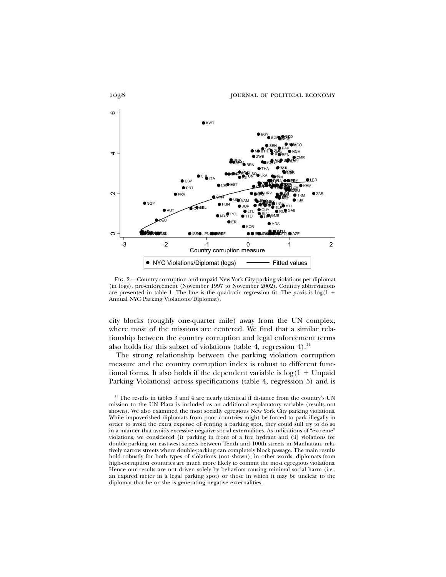

Fig. 2.—Country corruption and unpaid New York City parking violations per diplomat (in logs), pre-enforcement (November 1997 to November 2002). Country abbreviations are presented in table 1. The line is the quadratic regression fit. The *y*-axis is  $log(1 +$ Annual NYC Parking Violations/Diplomat).

city blocks (roughly one-quarter mile) away from the UN complex, where most of the missions are centered. We find that a similar relationship between the country corruption and legal enforcement terms also holds for this subset of violations (table 4, regression 4).<sup>14</sup>

The strong relationship between the parking violation corruption measure and the country corruption index is robust to different functional forms. It also holds if the dependent variable is  $log(1 + Unpaid)$ Parking Violations) across specifications (table 4, regression 5) and is

<sup>&</sup>lt;sup>14</sup> The results in tables 3 and 4 are nearly identical if distance from the country's UN mission to the UN Plaza is included as an additional explanatory variable (results not shown). We also examined the most socially egregious New York City parking violations. While impoverished diplomats from poor countries might be forced to park illegally in order to avoid the extra expense of renting a parking spot, they could still try to do so in a manner that avoids excessive negative social externalities. As indications of "extreme" violations, we considered (i) parking in front of a fire hydrant and (ii) violations for double-parking on east-west streets between Tenth and 100th streets in Manhattan, relatively narrow streets where double-parking can completely block passage. The main results hold robustly for both types of violations (not shown); in other words, diplomats from high-corruption countries are much more likely to commit the most egregious violations. Hence our results are not driven solely by behaviors causing minimal social harm (i.e., an expired meter in a legal parking spot) or those in which it may be unclear to the diplomat that he or she is generating negative externalities.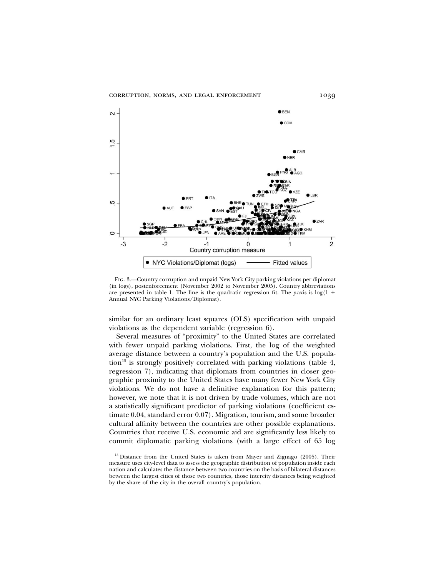

Fig. 3.—Country corruption and unpaid New York City parking violations per diplomat (in logs), postenforcement (November 2002 to November 2005). Country abbreviations are presented in table 1. The line is the quadratic regression fit. The *y*-axis is  $log(1 +$ Annual NYC Parking Violations/Diplomat).

similar for an ordinary least squares (OLS) specification with unpaid violations as the dependent variable (regression 6).

Several measures of "proximity" to the United States are correlated with fewer unpaid parking violations. First, the log of the weighted average distance between a country's population and the U.S. popula- $\tau$  tion<sup>15</sup> is strongly positively correlated with parking violations (table 4, regression 7), indicating that diplomats from countries in closer geographic proximity to the United States have many fewer New York City violations. We do not have a definitive explanation for this pattern; however, we note that it is not driven by trade volumes, which are not a statistically significant predictor of parking violations (coefficient estimate 0.04, standard error 0.07). Migration, tourism, and some broader cultural affinity between the countries are other possible explanations. Countries that receive U.S. economic aid are significantly less likely to commit diplomatic parking violations (with a large effect of 65 log

<sup>&</sup>lt;sup>15</sup> Distance from the United States is taken from Mayer and Zignago (2005). Their measure uses city-level data to assess the geographic distribution of population inside each nation and calculates the distance between two countries on the basis of bilateral distances between the largest cities of those two countries, those intercity distances being weighted by the share of the city in the overall country's population.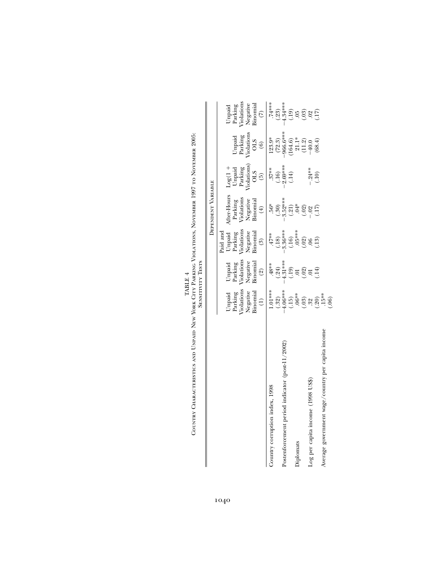| COUNTRY CHARACTERISTICS AND UNPAID NEW YORK CITY PARKING VIOLATIONS, NOVEMBER 1997 TO NOVEMBER 2005: |                                                         | <b>SENSITIVITY TESTS</b>                                            |                       |                              |                                                                                  |                                                                      |                                                                       |
|------------------------------------------------------------------------------------------------------|---------------------------------------------------------|---------------------------------------------------------------------|-----------------------|------------------------------|----------------------------------------------------------------------------------|----------------------------------------------------------------------|-----------------------------------------------------------------------|
|                                                                                                      |                                                         |                                                                     |                       | <b>DEPENDENT VARIABLE</b>    |                                                                                  |                                                                      |                                                                       |
|                                                                                                      |                                                         |                                                                     | Paid and              |                              |                                                                                  |                                                                      |                                                                       |
|                                                                                                      |                                                         |                                                                     |                       | After-Hours                  |                                                                                  |                                                                      |                                                                       |
|                                                                                                      | Unpaid<br>Parking                                       | Unpaid<br>Parking                                                   | Unpaid<br>Parking     | Parking                      | $\begin{array}{c} \text{Log}(1 + \\ \text{Unpaid} \\ \text{Parking} \end{array}$ | Unpaid                                                               | Unpaid<br>Parking<br>Violations                                       |
|                                                                                                      | /iolations                                              | <b>Tiolations</b>                                                   | Violations            | Violations                   |                                                                                  | Parking                                                              |                                                                       |
|                                                                                                      | Negative<br>Binomial                                    | Negative<br>Binomial                                                | Negative<br>Binomial  | Negative<br>Binomial         | Violations)<br>OLS                                                               | Violations<br>OLS                                                    | Negative<br>Binomial                                                  |
|                                                                                                      |                                                         |                                                                     |                       |                              |                                                                                  |                                                                      |                                                                       |
|                                                                                                      | $\begin{array}{c}\n\text{1}\n\end{array}$               | $\circled{2}$                                                       | $\binom{3}{2}$        | $\left( \frac{4}{2} \right)$ | $\widetilde{5}$                                                                  | $\widehat{\mathbf{e}}$                                               | $\widehat{C}$                                                         |
| Country corruption index, 1998                                                                       | $1.01***$                                               | .48**                                                               | $47**$                | $56*$                        | $.37**$                                                                          | 123.9*                                                               | .74****                                                               |
|                                                                                                      |                                                         |                                                                     |                       |                              |                                                                                  |                                                                      |                                                                       |
| Postenforcement period indicator (post-11/2002)                                                      | $(.32)$<br>-4.06***                                     | $(-24)$<br>-4.31***                                                 | $(-18)$<br>-3.36***   | $(0.30)$<br>$0.52***$        |                                                                                  | $(72.3)$<br>$-966.6***$                                              |                                                                       |
|                                                                                                      | $^{(15)}_{.06**}$                                       | (0.01)                                                              | $(0.16)$<br>$0.05***$ | $\frac{1}{0.04}$             | $(0.16)$<br>$-2.69***$                                                           | $\begin{array}{c} (164.6) \\ 21.1^* \\ (11.2) \\ (-40.0 \end{array}$ | $(0.23)$<br>$-4.34***$<br>$(0.19)$<br>$(0.05)$<br>$(0.03)$<br>$(0.2)$ |
| Diplomats                                                                                            |                                                         |                                                                     |                       |                              |                                                                                  |                                                                      |                                                                       |
|                                                                                                      |                                                         | $\left(\begin{smallmatrix} 0 & 0 \\ 0 & 1 \end{smallmatrix}\right)$ | (02)                  | $(.02)$                      |                                                                                  |                                                                      |                                                                       |
| Log per capita income (1998 US\$)                                                                    |                                                         |                                                                     |                       | (17)                         | $-24**$                                                                          |                                                                      |                                                                       |
|                                                                                                      | $\begin{array}{c} (03) \\ 32 \\ (20) \\ 15 \end{array}$ | (.14)                                                               | (13)                  |                              | (10)                                                                             | (68.4)                                                               |                                                                       |
| Average government wage/country per capita income                                                    | (.06)                                                   |                                                                     |                       |                              |                                                                                  |                                                                      |                                                                       |
|                                                                                                      |                                                         |                                                                     |                       |                              |                                                                                  |                                                                      |                                                                       |

Country Characteristics and Unpaid New York City Parking Violations, November 1997 to November 2005:  $\tilde{z}$  $1997<sub>7</sub>$  $\frac{c}{2}$  $\sum_{i=1}^{n}$ TABLE 4<br>City Papkin TABLE 4  $\mathcal{S}$ ź  $\tilde{\mathbf{5}}$ đ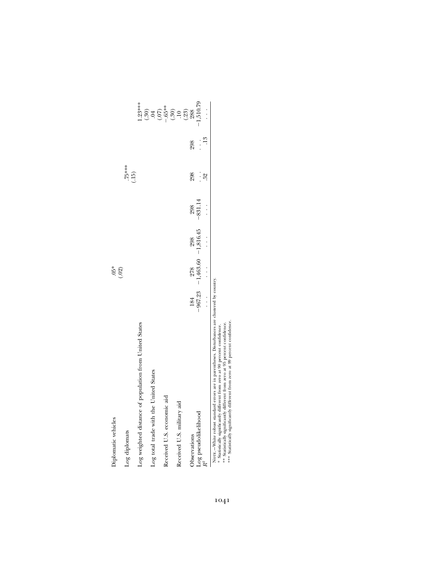| Diplomatic vehicles                                                                                                                                                                      |          | $.05*$<br>(.02) |                                   |           |                 |               |                                 |
|------------------------------------------------------------------------------------------------------------------------------------------------------------------------------------------|----------|-----------------|-----------------------------------|-----------|-----------------|---------------|---------------------------------|
| Log diplomats                                                                                                                                                                            |          |                 |                                   |           | .75****<br>(15) |               |                                 |
| Log weighted distance of population from United States                                                                                                                                   |          |                 |                                   |           |                 |               | $1.23***$                       |
| Log total trade with the United States                                                                                                                                                   |          |                 |                                   |           |                 |               | $\frac{2}{3}$ 3 5 $\frac{2}{3}$ |
| Received U.S. economic aid                                                                                                                                                               |          |                 |                                   |           |                 |               | $-.65***$                       |
| Received U.S. military aid                                                                                                                                                               |          |                 |                                   |           |                 |               | (0.30)                          |
| Observations                                                                                                                                                                             | 184      | 278             | 298                               | 298       | 298             | 298           | $(.23)$<br>$288$                |
| ${\rm Log\,}$ pseudolikelihood<br>$R^2$                                                                                                                                                  |          |                 | $-967.23$ $-1,463.60$ $-1,816.45$ | $-831.14$ | $\vdots$        | $\vdots$      | 1,510.79                        |
|                                                                                                                                                                                          | $\vdots$ | $\vdots$        | $\vdots$                          |           | 52              | $\frac{3}{2}$ |                                 |
| NOTE.-White robust standard errors are in parentheses. Disturbances are clustered by country.<br>$\frac{*}{*}$ Statistically significantly different from zero at 90 percent confidence. |          |                 |                                   |           |                 |               |                                 |

\* Statistically significantly different from zero at 90 percent confidence.

\* Statistically significantly different from zero at 90 percent confidence.<br>\*\*\*\* Statistically significantly different from zero at 99 percent confidence.<br>\*\*\* Statistically significantly different from zero at 99 percent c \*\* Statistically significantly different from zero at 95 percent confidence.

\*\*\* Statistically significantly different from zero at 99 percent confidence.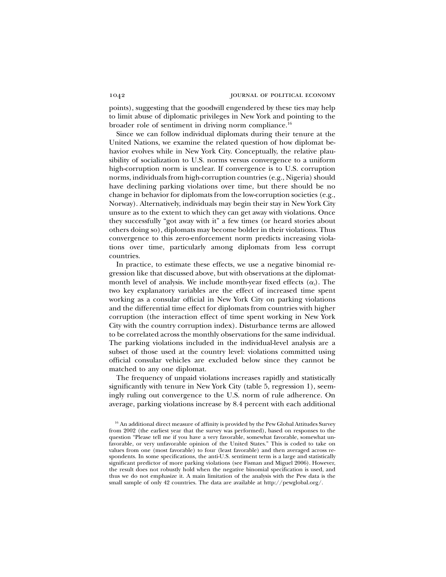points), suggesting that the goodwill engendered by these ties may help to limit abuse of diplomatic privileges in New York and pointing to the broader role of sentiment in driving norm compliance.<sup>16</sup>

Since we can follow individual diplomats during their tenure at the United Nations, we examine the related question of how diplomat behavior evolves while in New York City. Conceptually, the relative plausibility of socialization to U.S. norms versus convergence to a uniform high-corruption norm is unclear. If convergence is to U.S. corruption norms, individuals from high-corruption countries (e.g., Nigeria) should have declining parking violations over time, but there should be no change in behavior for diplomats from the low-corruption societies (e.g., Norway). Alternatively, individuals may begin their stay in New York City unsure as to the extent to which they can get away with violations. Once they successfully "got away with it" a few times (or heard stories about others doing so), diplomats may become bolder in their violations. Thus convergence to this zero-enforcement norm predicts increasing violations over time, particularly among diplomats from less corrupt countries.

In practice, to estimate these effects, we use a negative binomial regression like that discussed above, but with observations at the diplomatmonth level of analysis. We include month-year fixed effects  $(\alpha_i)$ . The two key explanatory variables are the effect of increased time spent working as a consular official in New York City on parking violations and the differential time effect for diplomats from countries with higher corruption (the interaction effect of time spent working in New York City with the country corruption index). Disturbance terms are allowed to be correlated across the monthly observations for the same individual. The parking violations included in the individual-level analysis are a subset of those used at the country level: violations committed using official consular vehicles are excluded below since they cannot be matched to any one diplomat.

The frequency of unpaid violations increases rapidly and statistically significantly with tenure in New York City (table 5, regression 1), seemingly ruling out convergence to the U.S. norm of rule adherence. On average, parking violations increase by 8.4 percent with each additional

<sup>&</sup>lt;sup>16</sup> An additional direct measure of affinity is provided by the Pew Global Attitudes Survey from 2002 (the earliest year that the survey was performed), based on responses to the question "Please tell me if you have a very favorable, somewhat favorable, somewhat unfavorable, or very unfavorable opinion of the United States." This is coded to take on values from one (most favorable) to four (least favorable) and then averaged across respondents. In some specifications, the anti-U.S. sentiment term is a large and statistically significant predictor of more parking violations (see Fisman and Miguel 2006). However, the result does not robustly hold when the negative binomial specification is used, and thus we do not emphasize it. A main limitation of the analysis with the Pew data is the small sample of only 42 countries. The data are available at http://pewglobal.org/.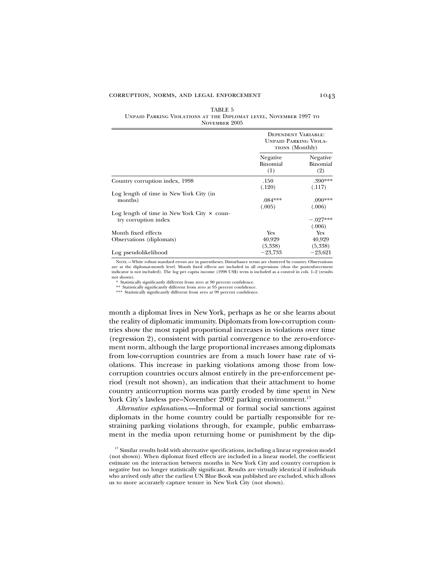## corruption, norms, and legal enforcement 1043

## TABLE 5

Unpaid Parking Violations at the Diplomat level, November 1997 to November 2005

|                                                    | <b>DEPENDENT VARIABLE:</b><br><b>UNPAID PARKING VIOLA-</b><br>TIONS (Monthly) |                             |
|----------------------------------------------------|-------------------------------------------------------------------------------|-----------------------------|
|                                                    | Negative<br>Binomial<br>(1)                                                   | Negative<br>Binomial<br>(2) |
| Country corruption index, 1998                     | .150                                                                          | $.390***$                   |
|                                                    | (.120)                                                                        | (.117)                      |
| Log length of time in New York City (in            |                                                                               |                             |
| months)                                            | $.084***$                                                                     | $.090***$                   |
|                                                    | (.005)                                                                        | (.006)                      |
| Log length of time in New York City $\times$ coun- |                                                                               |                             |
| try corruption index                               |                                                                               | $-.027***$                  |
|                                                    |                                                                               | (.006)                      |
| Month fixed effects                                | Yes                                                                           | Yes                         |
| Observations (diplomats)                           | 40,929                                                                        | 40,929                      |
|                                                    | (5,338)                                                                       | (5,338)                     |
| Log pseudolikelihood                               | $-23.733$                                                                     | $-23.621$                   |

Note.—White robust standard errors are in parentheses. Disturbance terms are clustered by country. Observations are at the diplomat-month level. Month fixed effects are included in all regressions (thus the postenforcement<br>indicator is not included). The log per capita income (1998 US\$) term is included as a control in cols. 1–2 (re not shown).

\* Statistically significantly different from zero at 90 percent confidence.

\*\* Statistically significantly different from zero at 95 percent confidence. \*\*\* Statistically significantly different from zero at 99 percent confidence.

month a diplomat lives in New York, perhaps as he or she learns about the reality of diplomatic immunity. Diplomats from low-corruption countries show the most rapid proportional increases in violations over time (regression 2), consistent with partial convergence to the zero-enforcement norm, although the large proportional increases among diplomats from low-corruption countries are from a much lower base rate of violations. This increase in parking violations among those from lowcorruption countries occurs almost entirely in the pre-enforcement period (result not shown), an indication that their attachment to home country anticorruption norms was partly eroded by time spent in New York City's lawless pre–November 2002 parking environment.<sup>17</sup>

*Alternative explanations*.—Informal or formal social sanctions against diplomats in the home country could be partially responsible for restraining parking violations through, for example, public embarrassment in the media upon returning home or punishment by the dip-

<sup>&</sup>lt;sup>17</sup> Similar results hold with alternative specifications, including a linear regression model (not shown). When diplomat fixed effects are included in a linear model, the coefficient estimate on the interaction between months in New York City and country corruption is negative but no longer statistically significant. Results are virtually identical if individuals who arrived only after the earliest UN Blue Book was published are excluded, which allows us to more accurately capture tenure in New York City (not shown).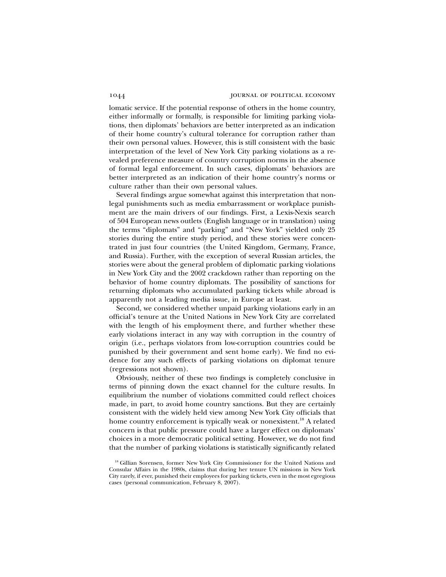lomatic service. If the potential response of others in the home country, either informally or formally, is responsible for limiting parking violations, then diplomats' behaviors are better interpreted as an indication of their home country's cultural tolerance for corruption rather than their own personal values. However, this is still consistent with the basic interpretation of the level of New York City parking violations as a revealed preference measure of country corruption norms in the absence of formal legal enforcement. In such cases, diplomats' behaviors are better interpreted as an indication of their home country's norms or culture rather than their own personal values.

Several findings argue somewhat against this interpretation that nonlegal punishments such as media embarrassment or workplace punishment are the main drivers of our findings. First, a Lexis-Nexis search of 504 European news outlets (English language or in translation) using the terms "diplomats" and "parking" and "New York" yielded only 25 stories during the entire study period, and these stories were concentrated in just four countries (the United Kingdom, Germany, France, and Russia). Further, with the exception of several Russian articles, the stories were about the general problem of diplomatic parking violations in New York City and the 2002 crackdown rather than reporting on the behavior of home country diplomats. The possibility of sanctions for returning diplomats who accumulated parking tickets while abroad is apparently not a leading media issue, in Europe at least.

Second, we considered whether unpaid parking violations early in an official's tenure at the United Nations in New York City are correlated with the length of his employment there, and further whether these early violations interact in any way with corruption in the country of origin (i.e., perhaps violators from low-corruption countries could be punished by their government and sent home early). We find no evidence for any such effects of parking violations on diplomat tenure (regressions not shown).

Obviously, neither of these two findings is completely conclusive in terms of pinning down the exact channel for the culture results. In equilibrium the number of violations committed could reflect choices made, in part, to avoid home country sanctions. But they are certainly consistent with the widely held view among New York City officials that home country enforcement is typically weak or nonexistent.<sup>18</sup> A related concern is that public pressure could have a larger effect on diplomats' choices in a more democratic political setting. However, we do not find that the number of parking violations is statistically significantly related

<sup>&</sup>lt;sup>18</sup> Gillian Sorensen, former New York City Commissioner for the United Nations and Consular Affairs in the 1980s, claims that during her tenure UN missions in New York City rarely, if ever, punished their employees for parking tickets, even in the most egregious cases (personal communication, February 8, 2007).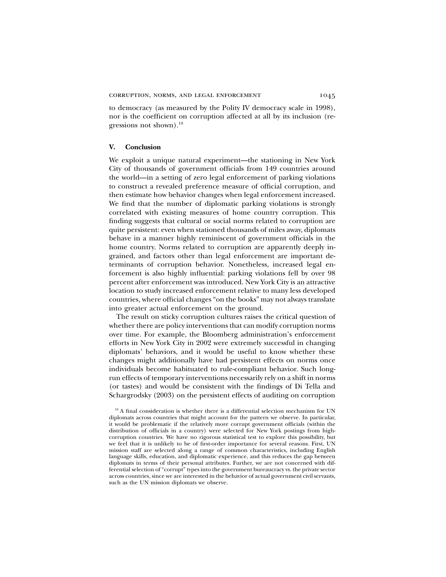to democracy (as measured by the Polity IV democracy scale in 1998), nor is the coefficient on corruption affected at all by its inclusion (regressions not shown). $^{19}$ 

## **V. Conclusion**

We exploit a unique natural experiment—the stationing in New York City of thousands of government officials from 149 countries around the world—in a setting of zero legal enforcement of parking violations to construct a revealed preference measure of official corruption, and then estimate how behavior changes when legal enforcement increased. We find that the number of diplomatic parking violations is strongly correlated with existing measures of home country corruption. This finding suggests that cultural or social norms related to corruption are quite persistent: even when stationed thousands of miles away, diplomats behave in a manner highly reminiscent of government officials in the home country. Norms related to corruption are apparently deeply ingrained, and factors other than legal enforcement are important determinants of corruption behavior. Nonetheless, increased legal enforcement is also highly influential: parking violations fell by over 98 percent after enforcement was introduced. New York City is an attractive location to study increased enforcement relative to many less developed countries, where official changes "on the books" may not always translate into greater actual enforcement on the ground.

The result on sticky corruption cultures raises the critical question of whether there are policy interventions that can modify corruption norms over time. For example, the Bloomberg administration's enforcement efforts in New York City in 2002 were extremely successful in changing diplomats' behaviors, and it would be useful to know whether these changes might additionally have had persistent effects on norms once individuals become habituated to rule-compliant behavior. Such longrun effects of temporary interventions necessarily rely on a shift in norms (or tastes) and would be consistent with the findings of Di Tella and Schargrodsky (2003) on the persistent effects of auditing on corruption

 $19$  A final consideration is whether there is a differential selection mechanism for UN diplomats across countries that might account for the pattern we observe. In particular, it would be problematic if the relatively more corrupt government officials (within the distribution of officials in a country) were selected for New York postings from highcorruption countries. We have no rigorous statistical test to explore this possibility, but we feel that it is unlikely to be of first-order importance for several reasons. First, UN mission staff are selected along a range of common characteristics, including English language skills, education, and diplomatic experience, and this reduces the gap between diplomats in terms of their personal attributes. Further, we are not concerned with differential selection of "corrupt" types into the government bureaucracy vs. the private sector across countries, since we are interested in the behavior of actual government civil servants, such as the UN mission diplomats we observe.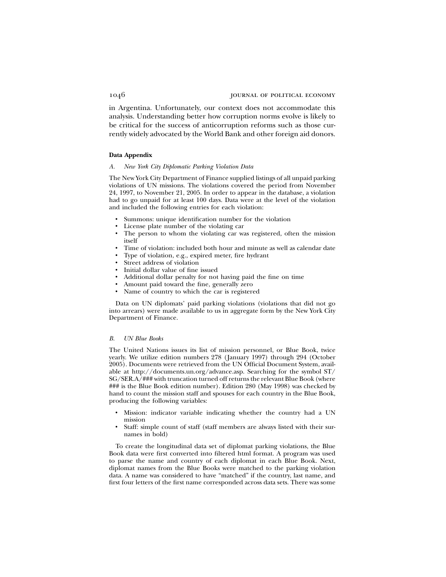in Argentina. Unfortunately, our context does not accommodate this analysis. Understanding better how corruption norms evolve is likely to be critical for the success of anticorruption reforms such as those currently widely advocated by the World Bank and other foreign aid donors.

#### **Data Appendix**

#### *A. New York City Diplomatic Parking Violation Data*

The New York City Department of Finance supplied listings of all unpaid parking violations of UN missions. The violations covered the period from November 24, 1997, to November 21, 2005. In order to appear in the database, a violation had to go unpaid for at least 100 days. Data were at the level of the violation and included the following entries for each violation:

- Summons: unique identification number for the violation
- License plate number of the violating car
- The person to whom the violating car was registered, often the mission itself
- Time of violation: included both hour and minute as well as calendar date
- Type of violation, e.g., expired meter, fire hydrant
- Street address of violation
- Initial dollar value of fine issued
- Additional dollar penalty for not having paid the fine on time
- Amount paid toward the fine, generally zero
- Name of country to which the car is registered

Data on UN diplomats' paid parking violations (violations that did not go into arrears) were made available to us in aggregate form by the New York City Department of Finance.

#### *B. UN Blue Books*

The United Nations issues its list of mission personnel, or Blue Book, twice yearly. We utilize edition numbers 278 (January 1997) through 294 (October 2005). Documents were retrieved from the UN Official Document System, available at http://documents.un.org/advance.asp. Searching for the symbol ST/ SG/SER.A/### with truncation turned off returns the relevant Blue Book (where ### is the Blue Book edition number). Edition 280 (May 1998) was checked by hand to count the mission staff and spouses for each country in the Blue Book, producing the following variables:

- Mission: indicator variable indicating whether the country had a UN mission
- Staff: simple count of staff (staff members are always listed with their surnames in bold)

To create the longitudinal data set of diplomat parking violations, the Blue Book data were first converted into filtered html format. A program was used to parse the name and country of each diplomat in each Blue Book. Next, diplomat names from the Blue Books were matched to the parking violation data. A name was considered to have "matched" if the country, last name, and first four letters of the first name corresponded across data sets. There was some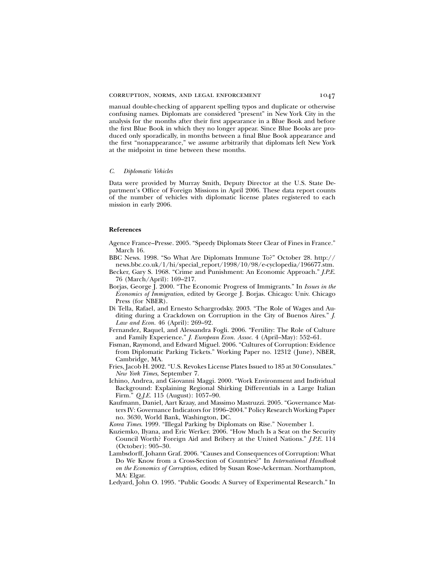manual double-checking of apparent spelling typos and duplicate or otherwise confusing names. Diplomats are considered "present" in New York City in the analysis for the months after their first appearance in a Blue Book and before the first Blue Book in which they no longer appear. Since Blue Books are produced only sporadically, in months between a final Blue Book appearance and the first "nonappearance," we assume arbitrarily that diplomats left New York at the midpoint in time between these months.

#### *C. Diplomatic Vehicles*

Data were provided by Murray Smith, Deputy Director at the U.S. State Department's Office of Foreign Missions in April 2006. These data report counts of the number of vehicles with diplomatic license plates registered to each mission in early 2006.

### **References**

Agence France–Presse. 2005. "Speedy Diplomats Steer Clear of Fines in France." March 16.

- BBC News. 1998. "So What Are Diplomats Immune To?" October 28. http:// news.bbc.co.uk/1/hi/special\_report/1998/10/98/e-cyclopedia/196677.stm.
- Becker, Gary S. 1968. "Crime and Punishment: An Economic Approach." *J.P.E.* 76 (March/April): 169–217.
- Borjas, George J. 2000. "The Economic Progress of Immigrants." In *Issues in the Economics of Immigration*, edited by George J. Borjas. Chicago: Univ. Chicago Press (for NBER).
- Di Tella, Rafael, and Ernesto Schargrodsky. 2003. "The Role of Wages and Auditing during a Crackdown on Corruption in the City of Buenos Aires." *J. Law and Econ.* 46 (April): 269–92.
- Fernandez, Raquel, and Alessandra Fogli. 2006. "Fertility: The Role of Culture and Family Experience." *J. European Econ. Assoc.* 4 (April–May): 552–61.
- Fisman, Raymond, and Edward Miguel. 2006. "Cultures of Corruption: Evidence from Diplomatic Parking Tickets." Working Paper no. 12312 (June), NBER, Cambridge, MA.
- Fries, Jacob H. 2002. "U.S. Revokes License Plates Issued to 185 at 30 Consulates." *New York Times*, September 7.
- Ichino, Andrea, and Giovanni Maggi. 2000. "Work Environment and Individual Background: Explaining Regional Shirking Differentials in a Large Italian Firm." *Q.J.E.* 115 (August): 1057–90.
- Kaufmann, Daniel, Aart Kraay, and Massimo Mastruzzi. 2005. "Governance Matters IV: Governance Indicators for 1996–2004." Policy Research Working Paper no. 3630, World Bank, Washington, DC.
- *Korea Times*. 1999. "Illegal Parking by Diplomats on Rise." November 1.
- Kuziemko, Ilyana, and Eric Werker. 2006. "How Much Is a Seat on the Security Council Worth? Foreign Aid and Bribery at the United Nations." *J.P.E.* 114 (October): 905–30.
- Lambsdorff, Johann Graf. 2006. "Causes and Consequences of Corruption: What Do We Know from a Cross-Section of Countries?" In *International Handbook on the Economics of Corruption*, edited by Susan Rose-Ackerman. Northampton, MA: Elgar.
- Ledyard, John O. 1995. "Public Goods: A Survey of Experimental Research." In